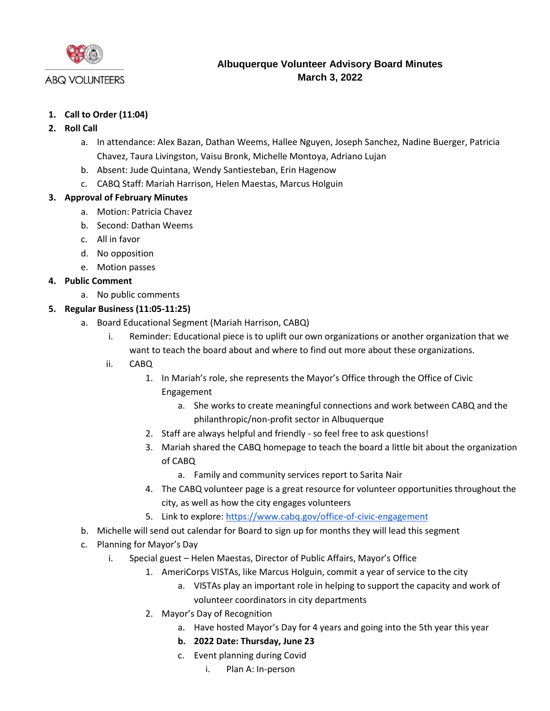

## **ABQ VOLUNTEERS**

# **Albuquerque Volunteer Advisory Board Minutes March 3, 2022**

## **1. Call to Order (11:04)**

## **2. Roll Call**

- a. In attendance: Alex Bazan, Dathan Weems, Hallee Nguyen, Joseph Sanchez, Nadine Buerger, Patricia Chavez, Taura Livingston, Vaisu Bronk, Michelle Montoya, Adriano Lujan
- b. Absent: Jude Quintana, Wendy Santiesteban, Erin Hagenow
- c. CABQ Staff: Mariah Harrison, Helen Maestas, Marcus Holguin

## **3. Approval of February Minutes**

- a. Motion: Patricia Chavez
- b. Second: Dathan Weems
- c. All in favor
- d. No opposition
- e. Motion passes

## **4. Public Comment**

- a. No public comments
- **5. Regular Business (11:05-11:25)**
	- a. Board Educational Segment (Mariah Harrison, CABQ)
		- i. Reminder: Educational piece is to uplift our own organizations or another organization that we want to teach the board about and where to find out more about these organizations.
		- ii. CABQ
			- 1. In Mariah's role, she represents the Mayor's Office through the Office of Civic Engagement
				- a. She works to create meaningful connections and work between CABQ and the philanthropic/non-profit sector in Albuquerque
			- 2. Staff are always helpful and friendly so feel free to ask questions!
			- 3. Mariah shared the CABQ homepage to teach the board a little bit about the organization of CABQ
				- a. Family and community services report to Sarita Nair
			- 4. The CABQ volunteer page is a great resource for volunteer opportunities throughout the city, as well as how the city engages volunteers
			- 5. Link to explore[: https://www.cabq.gov/office-of-civic-engagement](https://www.cabq.gov/office-of-civic-engagement)
	- b. Michelle will send out calendar for Board to sign up for months they will lead this segment
	- c. Planning for Mayor's Day
		- i. Special guest Helen Maestas, Director of Public Affairs, Mayor's Office
			- 1. AmeriCorps VISTAs, like Marcus Holguin, commit a year of service to the city
				- a. VISTAs play an important role in helping to support the capacity and work of volunteer coordinators in city departments
				- 2. Mayor's Day of Recognition
					- a. Have hosted Mayor's Day for 4 years and going into the 5th year this year
					- **b. 2022 Date: Thursday, June 23**
					- c. Event planning during Covid
						- i. Plan A: In-person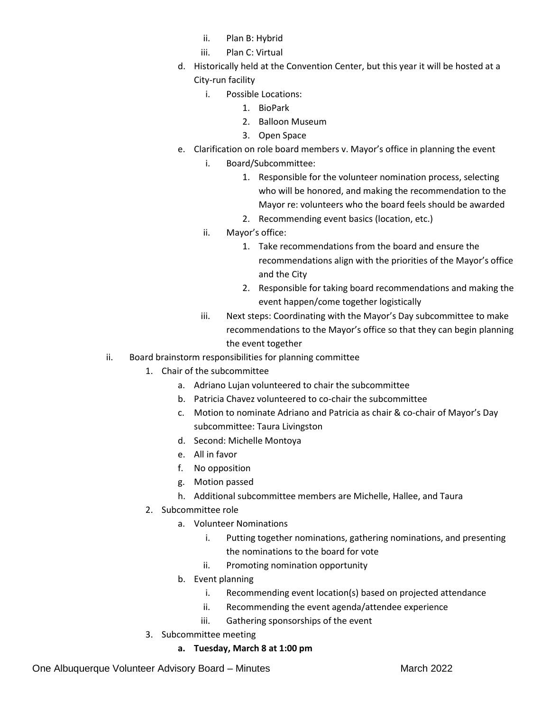- ii. Plan B: Hybrid
- iii. Plan C: Virtual
- d. Historically held at the Convention Center, but this year it will be hosted at a City-run facility
	- i. Possible Locations:
		- 1. BioPark
		- 2. Balloon Museum
		- 3. Open Space
- e. Clarification on role board members v. Mayor's office in planning the event i. Board/Subcommittee:
	- 1. Responsible for the volunteer nomination process, selecting who will be honored, and making the recommendation to the Mayor re: volunteers who the board feels should be awarded
	- 2. Recommending event basics (location, etc.)
	- ii. Mayor's office:
		- 1. Take recommendations from the board and ensure the recommendations align with the priorities of the Mayor's office and the City
		- 2. Responsible for taking board recommendations and making the event happen/come together logistically
	- iii. Next steps: Coordinating with the Mayor's Day subcommittee to make recommendations to the Mayor's office so that they can begin planning the event together
- ii. Board brainstorm responsibilities for planning committee
	- 1. Chair of the subcommittee
		- a. Adriano Lujan volunteered to chair the subcommittee
		- b. Patricia Chavez volunteered to co-chair the subcommittee
		- c. Motion to nominate Adriano and Patricia as chair & co-chair of Mayor's Day subcommittee: Taura Livingston
		- d. Second: Michelle Montoya
		- e. All in favor
		- f. No opposition
		- g. Motion passed
		- h. Additional subcommittee members are Michelle, Hallee, and Taura
	- 2. Subcommittee role
		- a. Volunteer Nominations
			- i. Putting together nominations, gathering nominations, and presenting the nominations to the board for vote
			- ii. Promoting nomination opportunity
		- b. Event planning
			- i. Recommending event location(s) based on projected attendance
			- ii. Recommending the event agenda/attendee experience
			- iii. Gathering sponsorships of the event
	- 3. Subcommittee meeting
		- **a. Tuesday, March 8 at 1:00 pm**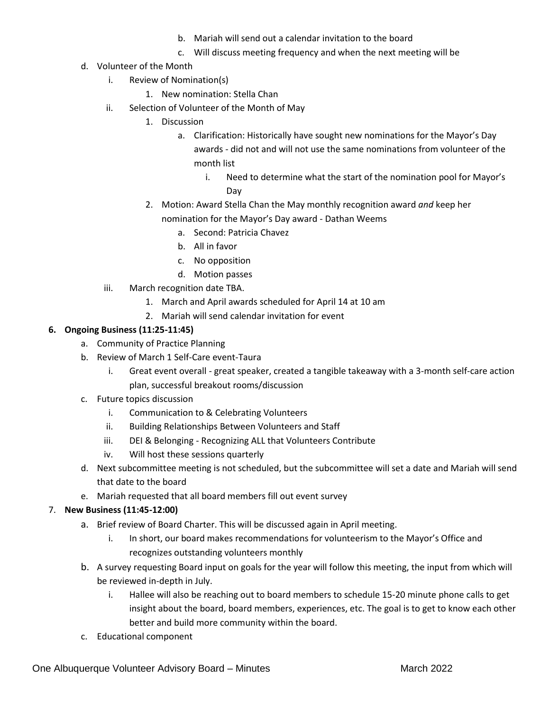- b. Mariah will send out a calendar invitation to the board
- c. Will discuss meeting frequency and when the next meeting will be
- d. Volunteer of the Month
	- i. Review of Nomination(s)
		- 1. New nomination: Stella Chan
	- ii. Selection of Volunteer of the Month of May
		- 1. Discussion
			- a. Clarification: Historically have sought new nominations for the Mayor's Day awards - did not and will not use the same nominations from volunteer of the month list
				- i. Need to determine what the start of the nomination pool for Mayor's Day
		- 2. Motion: Award Stella Chan the May monthly recognition award *and* keep her
			- nomination for the Mayor's Day award Dathan Weems
				- a. Second: Patricia Chavez
				- b. All in favor
				- c. No opposition
				- d. Motion passes
	- iii. March recognition date TBA.
		- 1. March and April awards scheduled for April 14 at 10 am
		- 2. Mariah will send calendar invitation for event

#### **6. Ongoing Business (11:25-11:45)**

- a. Community of Practice Planning
- b. Review of March 1 Self-Care event-Taura
	- i. Great event overall great speaker, created a tangible takeaway with a 3-month self-care action plan, successful breakout rooms/discussion
- c. Future topics discussion
	- i. Communication to & Celebrating Volunteers
	- ii. Building Relationships Between Volunteers and Staff
	- iii. DEI & Belonging Recognizing ALL that Volunteers Contribute
	- iv. Will host these sessions quarterly
- d. Next subcommittee meeting is not scheduled, but the subcommittee will set a date and Mariah will send that date to the board
- e. Mariah requested that all board members fill out event survey

#### 7. **New Business (11:45-12:00)**

- a. Brief review of Board Charter. This will be discussed again in April meeting.
	- i. In short, our board makes recommendations for volunteerism to the Mayor's Office and recognizes outstanding volunteers monthly
- b. A survey requesting Board input on goals for the year will follow this meeting, the input from which will be reviewed in-depth in July.
	- i. Hallee will also be reaching out to board members to schedule 15-20 minute phone calls to get insight about the board, board members, experiences, etc. The goal is to get to know each other better and build more community within the board.
- c. Educational component